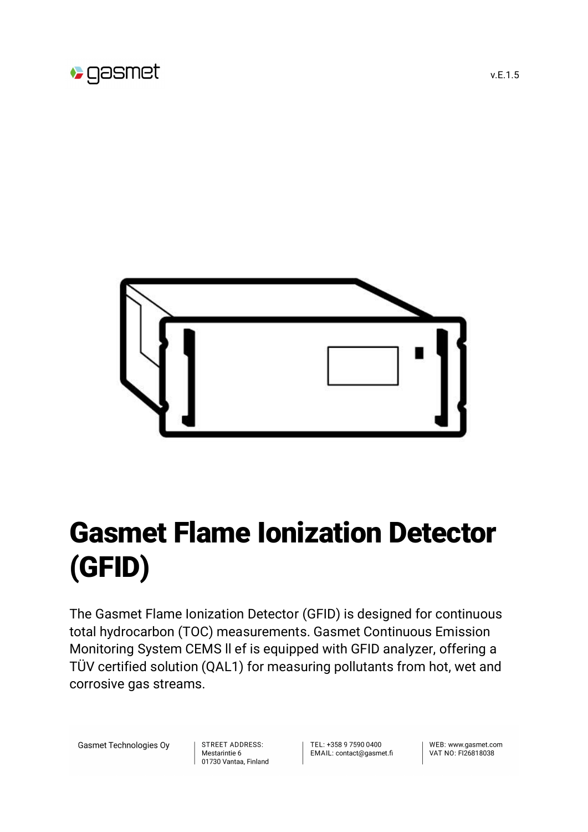



## Gasmet Flame Ionization Detector (GFID)

The Gasmet Flame Ionization Detector (GFID) is designed for continuous total hydrocarbon (TOC) measurements. Gasmet Continuous Emission Monitoring System CEMS ll ef is equipped with GFID analyzer, offering a TÜV certified solution (QAL1) for measuring pollutants from hot, wet and corrosive gas streams.

Gasmet Technologies Oy

STREET ADDRESS: Mestarintie 6 01730 Vantaa, Finland TFL: +358 9 7590 0400 EMAIL: contact@gasmet.fi

WFB: www.gasmet.com VAT NO: FI26818038